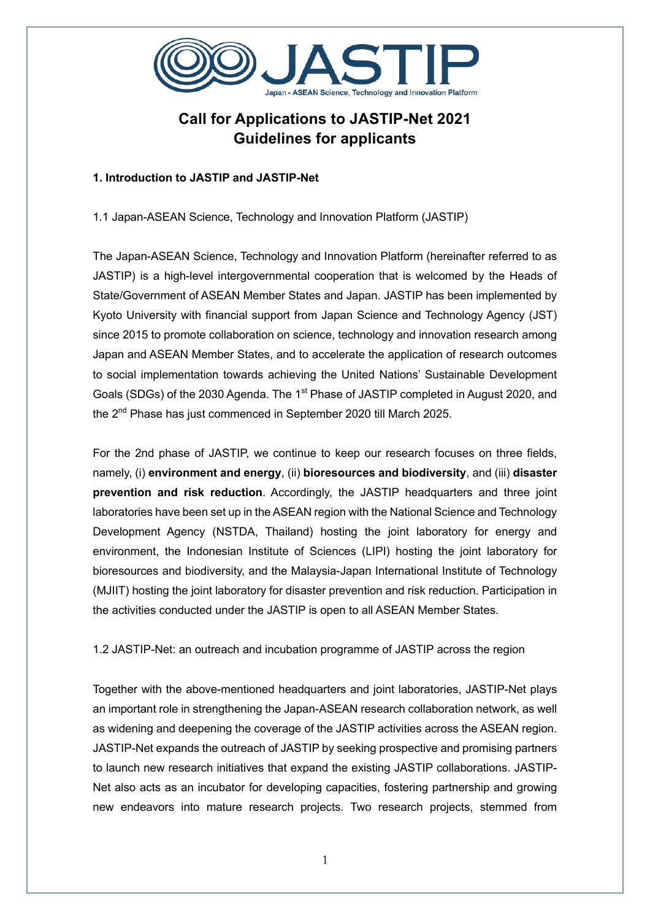

# **Call for Applications to JASTIP-Net 2021 Guidelines for applicants**

# **1. Introduction to JASTIP and JASTIP-Net**

1.1 Japan-ASEAN Science, Technology and Innovation Platform (JASTIP)

The Japan-ASEAN Science, Technology and Innovation Platform (hereinafter referred to as JASTIP) is a high-level intergovernmental cooperation that is welcomed by the Heads of State/Government of ASEAN Member States and Japan. JASTIP has been implemented by Kyoto University with financial support from Japan Science and Technology Agency (JST) since 2015 to promote collaboration on science, technology and innovation research among Japan and ASEAN Member States, and to accelerate the application of research outcomes to social implementation towards achieving the United Nations' Sustainable Development Goals (SDGs) of the 2030 Agenda. The 1<sup>st</sup> Phase of JASTIP completed in August 2020, and the 2nd Phase has just commenced in September 2020 till March 2025.

For the 2nd phase of JASTIP, we continue to keep our research focuses on three fields, namely, (i) **environment and energy**, (ii) **bioresources and biodiversity**, and (iii) **disaster prevention and risk reduction**. Accordingly, the JASTIP headquarters and three joint laboratories have been set up in the ASEAN region with the National Science and Technology Development Agency (NSTDA, Thailand) hosting the joint laboratory for energy and environment, the Indonesian Institute of Sciences (LIPI) hosting the joint laboratory for bioresources and biodiversity, and the Malaysia-Japan International Institute of Technology (MJIIT) hosting the joint laboratory for disaster prevention and risk reduction. Participation in the activities conducted under the JASTIP is open to all ASEAN Member States.

1.2 JASTIP-Net: an outreach and incubation programme of JASTIP across the region

Together with the above-mentioned headquarters and joint laboratories, JASTIP-Net plays an important role in strengthening the Japan-ASEAN research collaboration network, as well as widening and deepening the coverage of the JASTIP activities across the ASEAN region. JASTIP-Net expands the outreach of JASTIP by seeking prospective and promising partners to launch new research initiatives that expand the existing JASTIP collaborations. JASTIP-Net also acts as an incubator for developing capacities, fostering partnership and growing new endeavors into mature research projects. Two research projects, stemmed from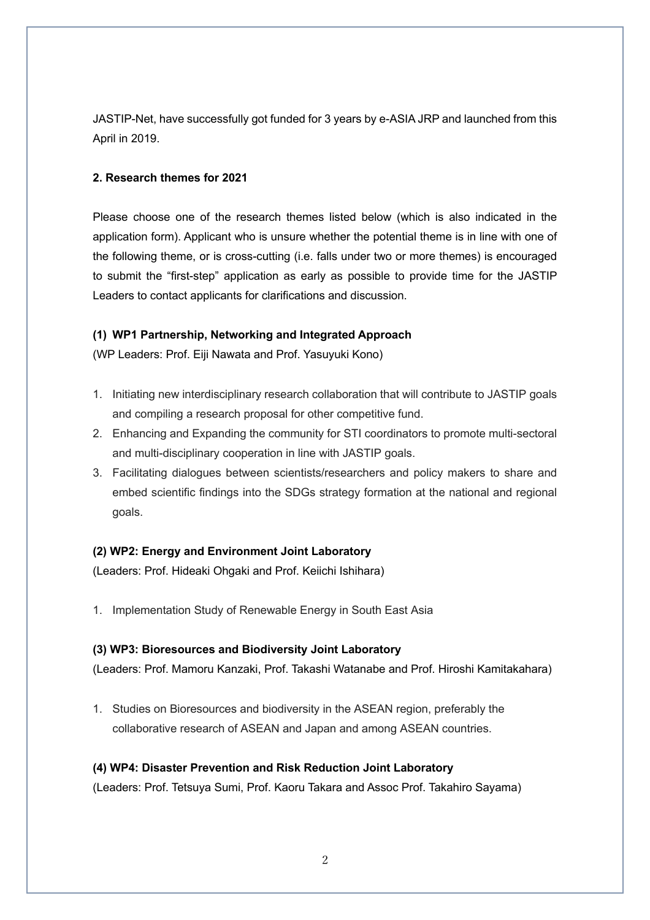JASTIP-Net, have successfully got funded for 3 years by e-ASIA JRP and launched from this April in 2019.

## **2. Research themes for 2021**

Please choose one of the research themes listed below (which is also indicated in the application form). Applicant who is unsure whether the potential theme is in line with one of the following theme, or is cross-cutting (i.e. falls under two or more themes) is encouraged to submit the "first-step" application as early as possible to provide time for the JASTIP Leaders to contact applicants for clarifications and discussion.

## **(1) WP1 Partnership, Networking and Integrated Approach**

(WP Leaders: Prof. Eiji Nawata and Prof. Yasuyuki Kono)

- 1. Initiating new interdisciplinary research collaboration that will contribute to JASTIP goals and compiling a research proposal for other competitive fund.
- 2. Enhancing and Expanding the community for STI coordinators to promote multi-sectoral and multi-disciplinary cooperation in line with JASTIP goals.
- 3. Facilitating dialogues between scientists/researchers and policy makers to share and embed scientific findings into the SDGs strategy formation at the national and regional goals.

# **(2) WP2: Energy and Environment Joint Laboratory**

(Leaders: Prof. Hideaki Ohgaki and Prof. Keiichi Ishihara)

1. Implementation Study of Renewable Energy in South East Asia

#### **(3) WP3: Bioresources and Biodiversity Joint Laboratory**

(Leaders: Prof. Mamoru Kanzaki, Prof. Takashi Watanabe and Prof. Hiroshi Kamitakahara)

1. Studies on Bioresources and biodiversity in the ASEAN region, preferably the collaborative research of ASEAN and Japan and among ASEAN countries.

#### **(4) WP4: Disaster Prevention and Risk Reduction Joint Laboratory**

(Leaders: Prof. Tetsuya Sumi, Prof. Kaoru Takara and Assoc Prof. Takahiro Sayama)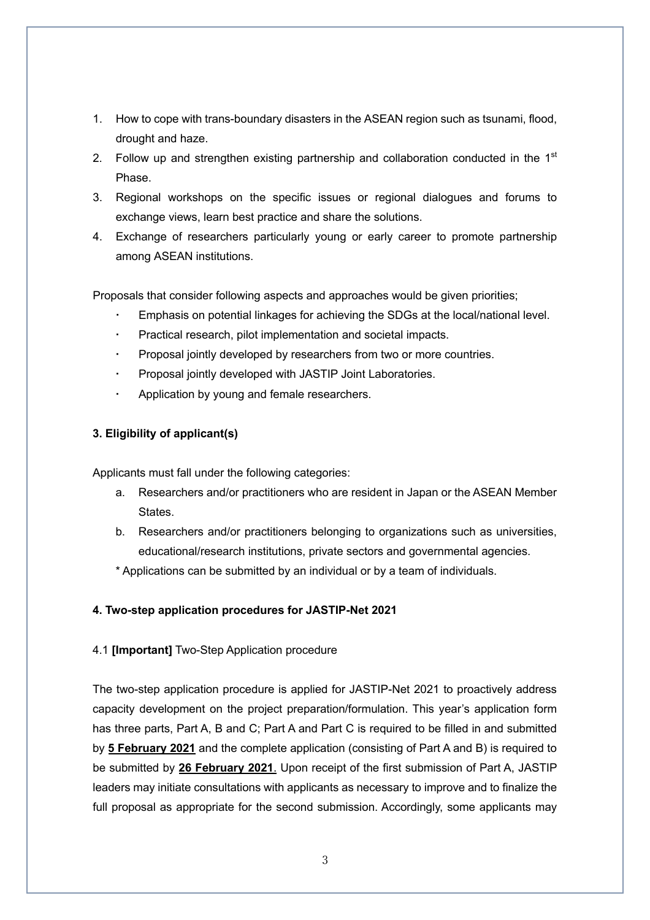- 1. How to cope with trans-boundary disasters in the ASEAN region such as tsunami, flood, drought and haze.
- 2. Follow up and strengthen existing partnership and collaboration conducted in the  $1<sup>st</sup>$ Phase.
- 3. Regional workshops on the specific issues or regional dialogues and forums to exchange views, learn best practice and share the solutions.
- 4. Exchange of researchers particularly young or early career to promote partnership among ASEAN institutions.

Proposals that consider following aspects and approaches would be given priorities;

- Emphasis on potential linkages for achieving the SDGs at the local/national level.
- Practical research, pilot implementation and societal impacts.
- Proposal jointly developed by researchers from two or more countries.
- Proposal jointly developed with JASTIP Joint Laboratories.
- Application by young and female researchers.

## **3. Eligibility of applicant(s)**

Applicants must fall under the following categories:

- a. Researchers and/or practitioners who are resident in Japan or the ASEAN Member **States**
- b. Researchers and/or practitioners belonging to organizations such as universities, educational/research institutions, private sectors and governmental agencies.
- \* Applications can be submitted by an individual or by a team of individuals.

#### **4. Two-step application procedures for JASTIP-Net 2021**

#### 4.1 **[Important]** Two-Step Application procedure

The two-step application procedure is applied for JASTIP-Net 2021 to proactively address capacity development on the project preparation/formulation. This year's application form has three parts, Part A, B and C; Part A and Part C is required to be filled in and submitted by **5 February 2021** and the complete application (consisting of Part A and B) is required to be submitted by **26 February 2021**. Upon receipt of the first submission of Part A, JASTIP leaders may initiate consultations with applicants as necessary to improve and to finalize the full proposal as appropriate for the second submission. Accordingly, some applicants may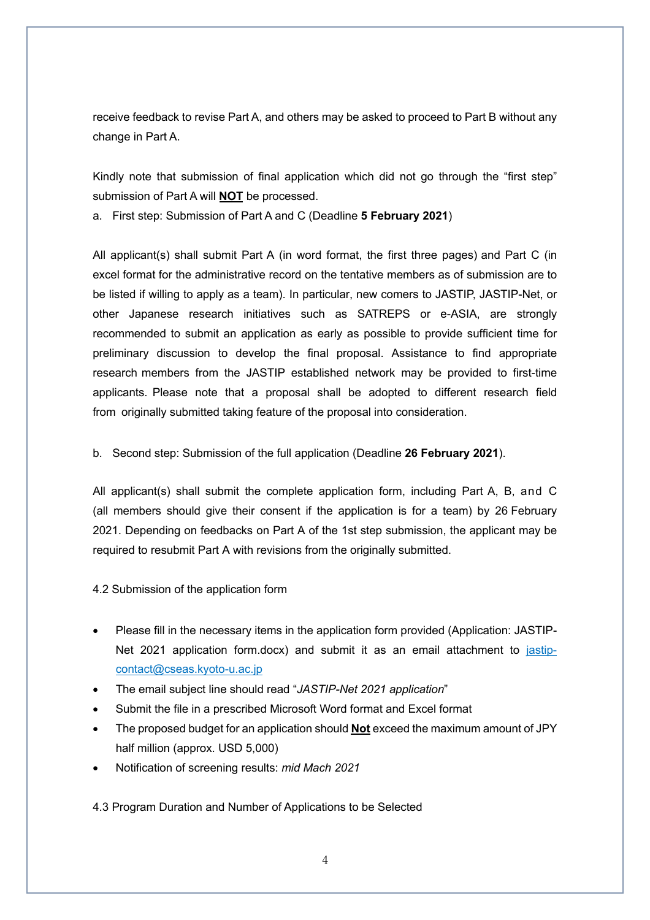receive feedback to revise Part A, and others may be asked to proceed to Part B without any change in Part A.

Kindly note that submission of final application which did not go through the "first step" submission of Part A will **NOT** be processed.

a. First step: Submission of Part A and C (Deadline **5 February 2021**)

All applicant(s) shall submit Part A (in word format, the first three pages) and Part C (in excel format for the administrative record on the tentative members as of submission are to be listed if willing to apply as a team). In particular, new comers to JASTIP, JASTIP-Net, or other Japanese research initiatives such as SATREPS or e-ASIA, are strongly recommended to submit an application as early as possible to provide sufficient time for preliminary discussion to develop the final proposal. Assistance to find appropriate research members from the JASTIP established network may be provided to first-time applicants. Please note that a proposal shall be adopted to different research field from originally submitted taking feature of the proposal into consideration.

b. Second step: Submission of the full application (Deadline **26 February 2021**).

All applicant(s) shall submit the complete application form, including Part A, B, and C (all members should give their consent if the application is for a team) by 26 February 2021. Depending on feedbacks on Part A of the 1st step submission, the applicant may be required to resubmit Part A with revisions from the originally submitted.

4.2 Submission of the application form

- Please fill in the necessary items in the application form provided (Application: JASTIP-Net 2021 application form.docx) and submit it as an email attachment to jastipcontact@cseas.kyoto-u.ac.jp
- The email subject line should read "*JASTIP-Net 2021 application*"
- Submit the file in a prescribed Microsoft Word format and Excel format
- The proposed budget for an application should **Not** exceed the maximum amount of JPY half million (approx. USD 5,000)
- Notification of screening results: *mid Mach 2021*

4.3 Program Duration and Number of Applications to be Selected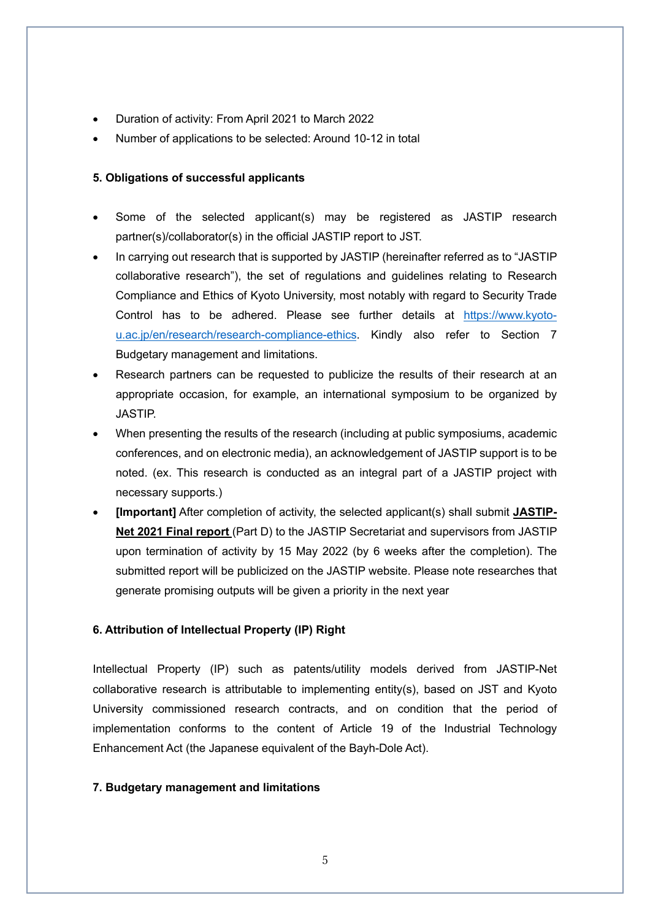- Duration of activity: From April 2021 to March 2022
- Number of applications to be selected: Around 10-12 in total

## **5. Obligations of successful applicants**

- Some of the selected applicant(s) may be registered as JASTIP research partner(s)/collaborator(s) in the official JASTIP report to JST.
- In carrying out research that is supported by JASTIP (hereinafter referred as to "JASTIP collaborative research"), the set of regulations and guidelines relating to Research Compliance and Ethics of Kyoto University, most notably with regard to Security Trade Control has to be adhered. Please see further details at https://www.kyotou.ac.jp/en/research/research-compliance-ethics. Kindly also refer to Section 7 Budgetary management and limitations.
- Research partners can be requested to publicize the results of their research at an appropriate occasion, for example, an international symposium to be organized by JASTIP.
- When presenting the results of the research (including at public symposiums, academic conferences, and on electronic media), an acknowledgement of JASTIP support is to be noted. (ex. This research is conducted as an integral part of a JASTIP project with necessary supports.)
- **[Important]** After completion of activity, the selected applicant(s) shall submit **JASTIP-Net 2021 Final report** (Part D) to the JASTIP Secretariat and supervisors from JASTIP upon termination of activity by 15 May 2022 (by 6 weeks after the completion). The submitted report will be publicized on the JASTIP website. Please note researches that generate promising outputs will be given a priority in the next year

# **6. Attribution of Intellectual Property (IP) Right**

Intellectual Property (IP) such as patents/utility models derived from JASTIP-Net collaborative research is attributable to implementing entity(s), based on JST and Kyoto University commissioned research contracts, and on condition that the period of implementation conforms to the content of Article 19 of the Industrial Technology Enhancement Act (the Japanese equivalent of the Bayh-Dole Act).

#### **7. Budgetary management and limitations**